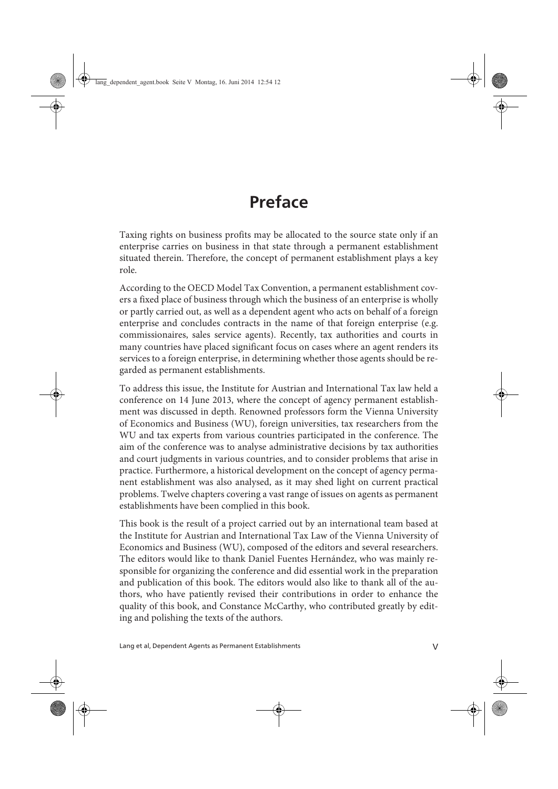## **Preface**

Taxing rights on business profits may be allocated to the source state only if an enterprise carries on business in that state through a permanent establishment situated therein. Therefore, the concept of permanent establishment plays a key role.

According to the OECD Model Tax Convention, a permanent establishment covers a fixed place of business through which the business of an enterprise is wholly or partly carried out, as well as a dependent agent who acts on behalf of a foreign enterprise and concludes contracts in the name of that foreign enterprise (e.g. commissionaires, sales service agents). Recently, tax authorities and courts in many countries have placed significant focus on cases where an agent renders its services to a foreign enterprise, in determining whether those agents should be regarded as permanent establishments.

To address this issue, the Institute for Austrian and International Tax law held a conference on 14 June 2013, where the concept of agency permanent establishment was discussed in depth. Renowned professors form the Vienna University of Economics and Business (WU), foreign universities, tax researchers from the WU and tax experts from various countries participated in the conference. The aim of the conference was to analyse administrative decisions by tax authorities and court judgments in various countries, and to consider problems that arise in practice. Furthermore, a historical development on the concept of agency permanent establishment was also analysed, as it may shed light on current practical problems. Twelve chapters covering a vast range of issues on agents as permanent establishments have been complied in this book.

This book is the result of a project carried out by an international team based at the Institute for Austrian and International Tax Law of the Vienna University of Economics and Business (WU), composed of the editors and several researchers. The editors would like to thank Daniel Fuentes Hernández, who was mainly responsible for organizing the conference and did essential work in the preparation and publication of this book. The editors would also like to thank all of the authors, who have patiently revised their contributions in order to enhance the quality of this book, and Constance McCarthy, who contributed greatly by editing and polishing the texts of the authors.